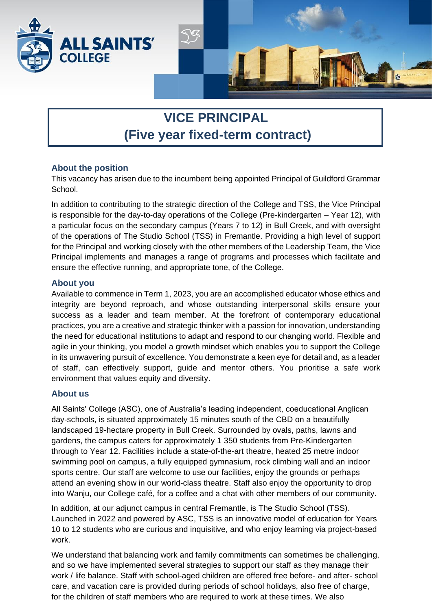

# **VICE PRINCIPAL (Five year fixed-term contract)**

## **About the position**

This vacancy has arisen due to the incumbent being appointed Principal of Guildford Grammar School.

In addition to contributing to the strategic direction of the College and TSS, the Vice Principal is responsible for the day-to-day operations of the College (Pre-kindergarten – Year 12), with a particular focus on the secondary campus (Years 7 to 12) in Bull Creek, and with oversight of the operations of The Studio School (TSS) in Fremantle. Providing a high level of support for the Principal and working closely with the other members of the Leadership Team, the Vice Principal implements and manages a range of programs and processes which facilitate and ensure the effective running, and appropriate tone, of the College.

## **About you**

Available to commence in Term 1, 2023, you are an accomplished educator whose ethics and integrity are beyond reproach, and whose outstanding interpersonal skills ensure your success as a leader and team member. At the forefront of contemporary educational practices, you are a creative and strategic thinker with a passion for innovation, understanding the need for educational institutions to adapt and respond to our changing world. Flexible and agile in your thinking, you model a growth mindset which enables you to support the College in its unwavering pursuit of excellence. You demonstrate a keen eye for detail and, as a leader of staff, can effectively support, guide and mentor others. You prioritise a safe work environment that values equity and diversity.

## **About us**

All Saints' College (ASC), one of Australia's leading independent, coeducational Anglican day-schools, is situated approximately 15 minutes south of the CBD on a beautifully landscaped 19-hectare property in Bull Creek. Surrounded by ovals, paths, lawns and gardens, the campus caters for approximately 1 350 students from Pre-Kindergarten through to Year 12. Facilities include a state-of-the-art theatre, heated 25 metre indoor swimming pool on campus, a fully equipped gymnasium, rock climbing wall and an indoor sports centre. Our staff are welcome to use our facilities, enjoy the grounds or perhaps attend an evening show in our world-class theatre. Staff also enjoy the opportunity to drop into Wanju, our College café, for a coffee and a chat with other members of our community.

In addition, at our adjunct campus in central Fremantle, is The Studio School (TSS). Launched in 2022 and powered by ASC, TSS is an innovative model of education for Years 10 to 12 students who are curious and inquisitive, and who enjoy learning via project-based work.

We understand that balancing work and family commitments can sometimes be challenging, and so we have implemented several strategies to support our staff as they manage their work / life balance. Staff with school-aged children are offered free before- and after- school care, and vacation care is provided during periods of school holidays, also free of charge, for the children of staff members who are required to work at these times. We also